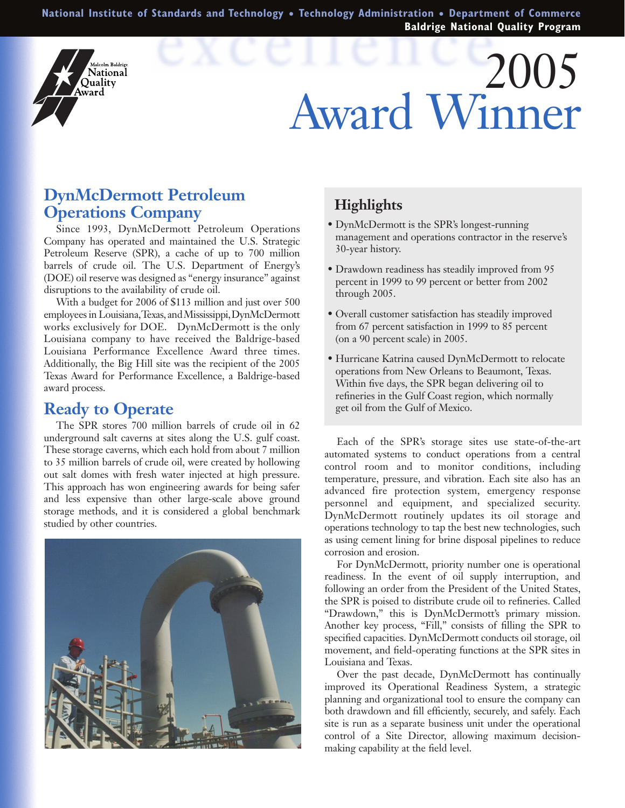**National Institute of Standards and Technology** ● **Technology Administration** ● **Department of Commerce Baldrige National Quality Program**

# 2005 Award Winner

## **DynMcDermott Petroleum Operations Company**

<sub>Malcolm Baldrige</sub><br>**Vational** Ouality **\**ward

Since 1993, DynMcDermott Petroleum Operations Company has operated and maintained the U.S. Strategic Petroleum Reserve (SPR), a cache of up to 700 million barrels of crude oil. The U.S. Department of Energy's (DOE) oil reserve was designed as "energy insurance" against disruptions to the availability of crude oil.

With a budget for 2006 of \$113 million and just over 500 employees in Louisiana, Texas, and Mississippi, DynMcDermott works exclusively for DOE. DynMcDermott is the only Louisiana company to have received the Baldrige-based Louisiana Performance Excellence Award three times. Additionally, the Big Hill site was the recipient of the 2005 Texas Award for Performance Excellence, a Baldrige-based award process.

#### **Ready to Operate**

The SPR stores 700 million barrels of crude oil in 62 underground salt caverns at sites along the U.S. gulf coast. These storage caverns, which each hold from about 7 million to 35 million barrels of crude oil, were created by hollowing out salt domes with fresh water injected at high pressure. This approach has won engineering awards for being safer and less expensive than other large-scale above ground storage methods, and it is considered a global benchmark studied by other countries.



### **Highlights**

- DynMcDermott is the SPR's longest-running management and operations contractor in the reserve's 30-year history.
- Drawdown readiness has steadily improved from 95 percent in 1999 to 99 percent or better from 2002 through 2005.
- Overall customer satisfaction has steadily improved from 67 percent satisfaction in 1999 to 85 percent (on a 90 percent scale) in 2005.
- Hurricane Katrina caused DynMcDermott to relocate operations from New Orleans to Beaumont, Texas. Within five days, the SPR began delivering oil to refineries in the Gulf Coast region, which normally get oil from the Gulf of Mexico.

Each of the SPR's storage sites use state-of-the-art automated systems to conduct operations from a central control room and to monitor conditions, including temperature, pressure, and vibration. Each site also has an advanced fire protection system, emergency response personnel and equipment, and specialized security. DynMcDermott routinely updates its oil storage and operations technology to tap the best new technologies, such as using cement lining for brine disposal pipelines to reduce corrosion and erosion.

For DynMcDermott, priority number one is operational readiness. In the event of oil supply interruption, and following an order from the President of the United States, the SPR is poised to distribute crude oil to refineries. Called "Drawdown," this is DynMcDermott's primary mission. Another key process, "Fill," consists of filling the SPR to specified capacities. DynMcDermott conducts oil storage, oil movement, and field-operating functions at the SPR sites in Louisiana and Texas.

Over the past decade, DynMcDermott has continually improved its Operational Readiness System, a strategic planning and organizational tool to ensure the company can both drawdown and fill efficiently, securely, and safely. Each site is run as a separate business unit under the operational control of a Site Director, allowing maximum decisionmaking capability at the field level.